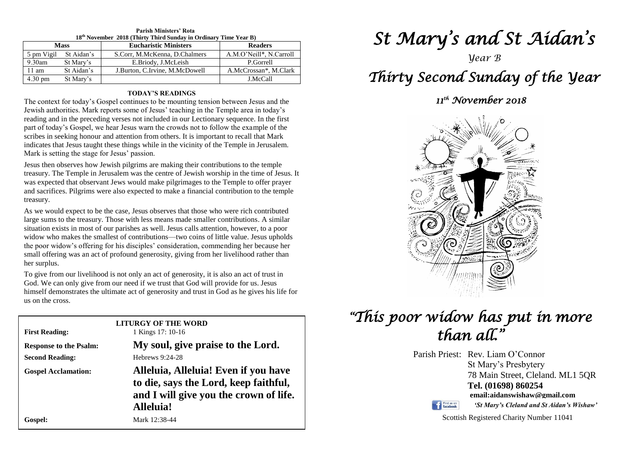| 18 <sup>th</sup> November 2018 (Thirty Third Sunday in Ordinary Time Year B) |                       |                                |                         |  |  |  |
|------------------------------------------------------------------------------|-----------------------|--------------------------------|-------------------------|--|--|--|
| <b>Mass</b>                                                                  |                       | <b>Eucharistic Ministers</b>   | <b>Readers</b>          |  |  |  |
|                                                                              | 5 pm Vigil St Aidan's | S.Corr, M.McKenna, D.Chalmers  | A.M.O'Neill*, N.Carroll |  |  |  |
| $9.30$ am                                                                    | St Mary's             | E.Briody, J.McLeish            | P.Gorrell               |  |  |  |
| $11 \text{ am}$                                                              | St Aidan's            | J.Burton, C.Irvine, M.McDowell | A.McCrossan*, M.Clark   |  |  |  |
| 4.30 pm                                                                      | St Mary's             |                                | J.McCall                |  |  |  |

## **Parish Ministers' Rota**

#### **TODAY'S READINGS**

The context for today's Gospel continues to be mounting tension between Jesus and the Jewish authorities. Mark reports some of Jesus' teaching in the Temple area in today's reading and in the preceding verses not included in our Lectionary sequence. In the first part of today's Gospel, we hear Jesus warn the crowds not to follow the example of the scribes in seeking honour and attention from others. It is important to recall that Mark indicates that Jesus taught these things while in the vicinity of the Temple in Jerusalem. Mark is setting the stage for Jesus' passion.

Jesus then observes how Jewish pilgrims are making their contributions to the temple treasury. The Temple in Jerusalem was the centre of Jewish worship in the time of Jesus. It was expected that observant Jews would make pilgrimages to the Temple to offer prayer and sacrifices. Pilgrims were also expected to make a financial contribution to the temple treasury.

*x* and the poor widow who makes the smallest of contributions—two coins of little value. Jesus upholds the poor widow's offering for his disciples' consideration, commending her because her *n* strain of terms was an act of protound generosity, giving from her friending that that<br>ther surplus.<br>To give from our livelihood is not only an act of generosity, it is also an act of trust in As we would expect to be the case, Jesus observes that those who were rich contributed large sums to the treasury. Those with less means made smaller contributions. A similar situation exists in most of our parishes as well. Jesus calls attention, however, to a poor widow who makes the smallest of contributions—two coins of little value. Jesus upholds small offering was an act of profound generosity, giving from her livelihood rather than her surplus.

God. We can only give from our need if we trust that God will provide for us. Jesus<br>himself demonstrates the ultimate act of generosity and trust in God as he gives his life for God. We can only give from our need if we trust that God will provide for us. Jesus us on the cross.

| <b>LITURGY OF THE WORD</b>    |                                        |  |  |  |
|-------------------------------|----------------------------------------|--|--|--|
| <b>First Reading:</b>         | 1 Kings 17: 10-16                      |  |  |  |
| <b>Response to the Psalm:</b> | My soul, give praise to the Lord.      |  |  |  |
| <b>Second Reading:</b>        | Hebrews $9:24-28$                      |  |  |  |
| <b>Gospel Acclamation:</b>    | Alleluia, Alleluia! Even if you have   |  |  |  |
|                               | to die, says the Lord, keep faithful,  |  |  |  |
|                               | and I will give you the crown of life. |  |  |  |
|                               | Alleluia!                              |  |  |  |
| Gospel:                       | Mark 12:38-44                          |  |  |  |

# *St Mary's and St Aidan's*

### *Year B*

## *Thirty Second Sunday of the Year*

### *11th November 2018*



## *"This poor widow has put in more than all."*

Parish Priest: Rev. Liam O'Connor St Mary's Presbytery 78 Main Street, Cleland. ML1 5QR **Tel. (01698) 860254 email:aidanswishaw@gmail.com**



*'St Mary's Cleland and St Aidan's Wishaw'*

Scottish Registered Charity Number 11041